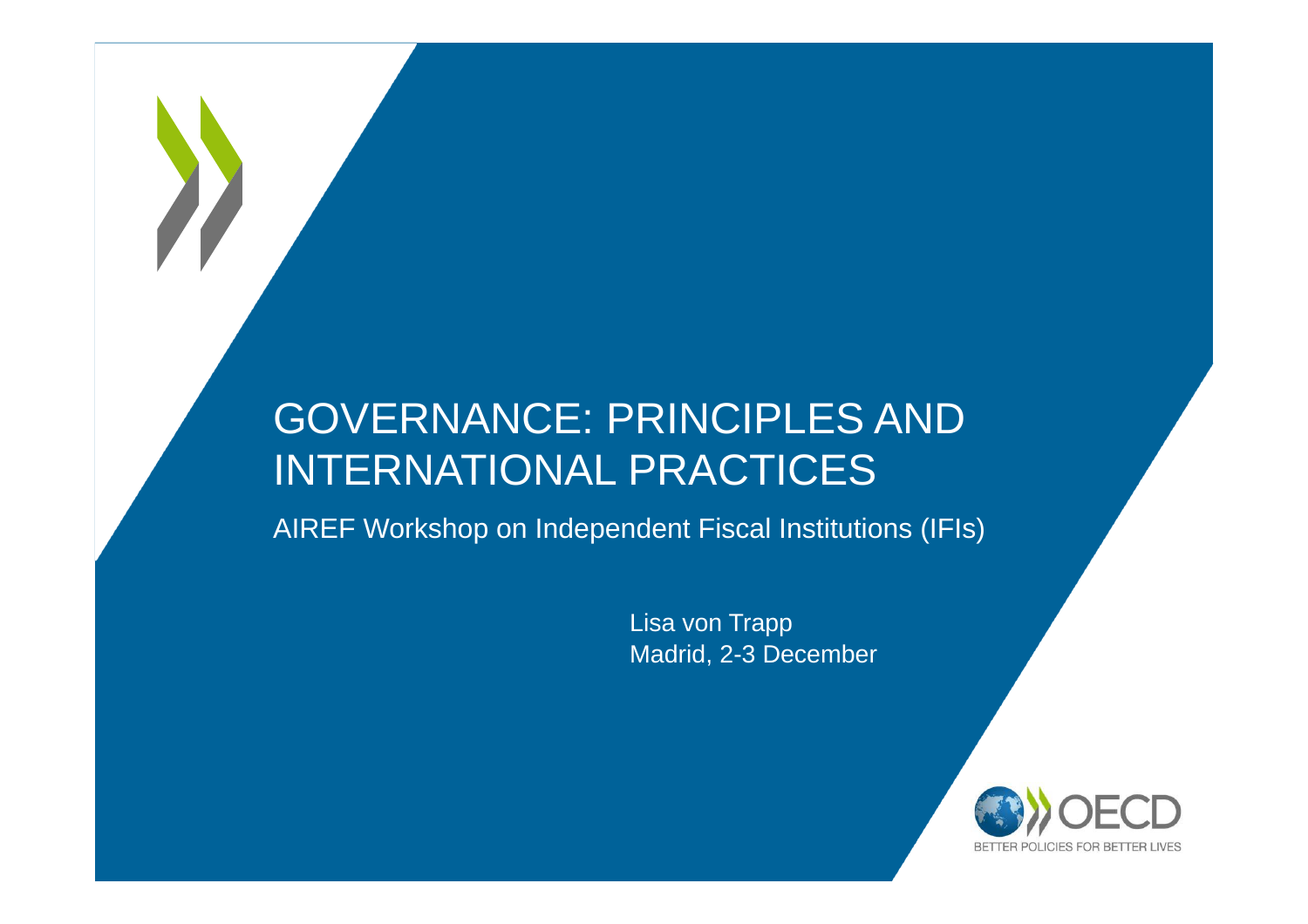#### GOVERNANCE: PRINCIPLES AND INTERNATIONAL PRACTICES

AIREF Workshop on Independent Fiscal Institutions (IFIs)

Lisa von Trapp Madrid, 2-3 December

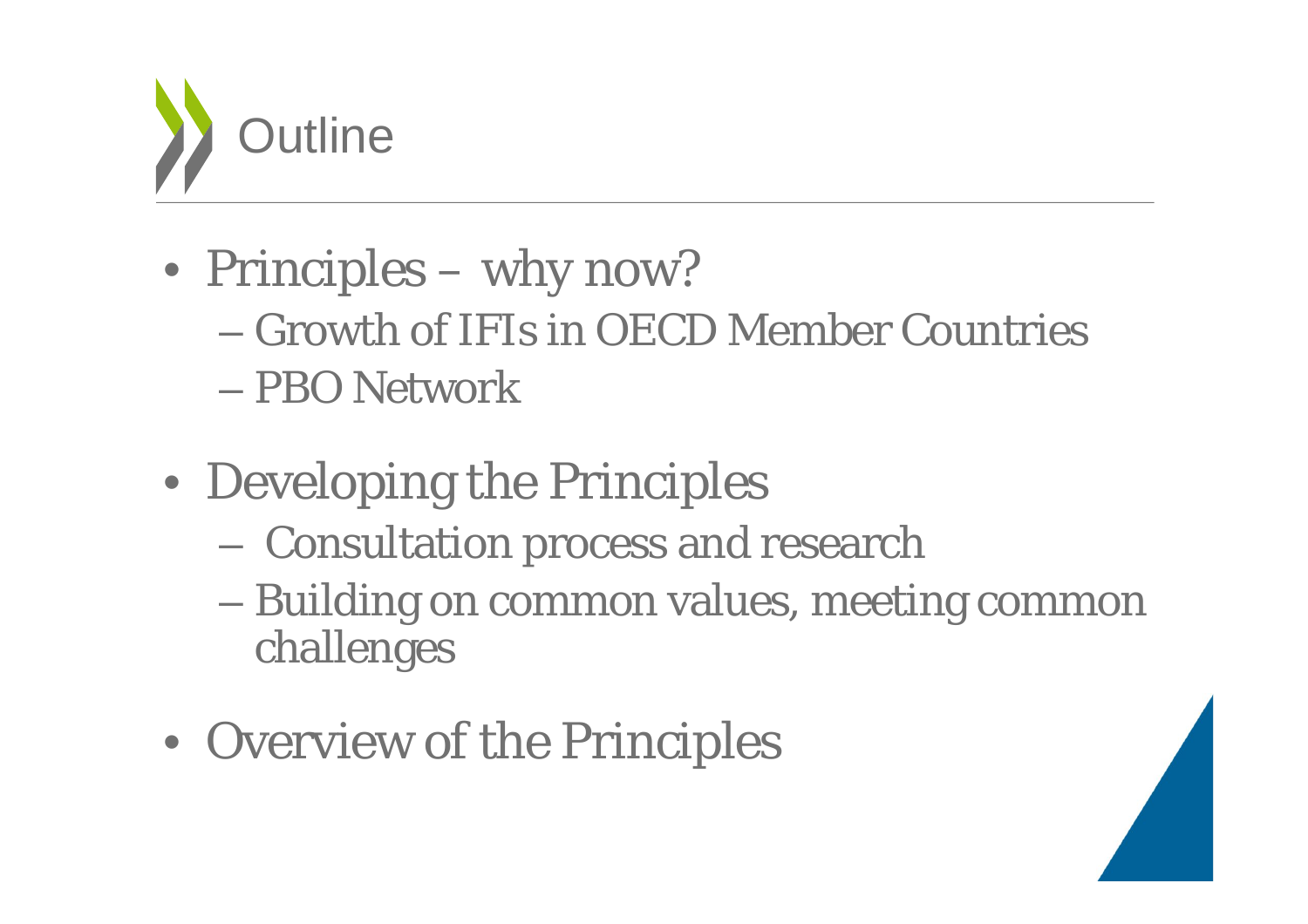

- Principles why now?
	- Growth of IFIs in OECD Member Countries
	- PBO Network
- Developing the Principles
	- $\mathcal{L}_{\mathcal{A}}$  , and the set of the set of the set of the set of the set of the set of the set of the set of the set of the set of the set of the set of the set of the set of the set of the set of the set of the set of th Consultation process and research
	- Building on common values, meeting common challenges
- Overview of the Principles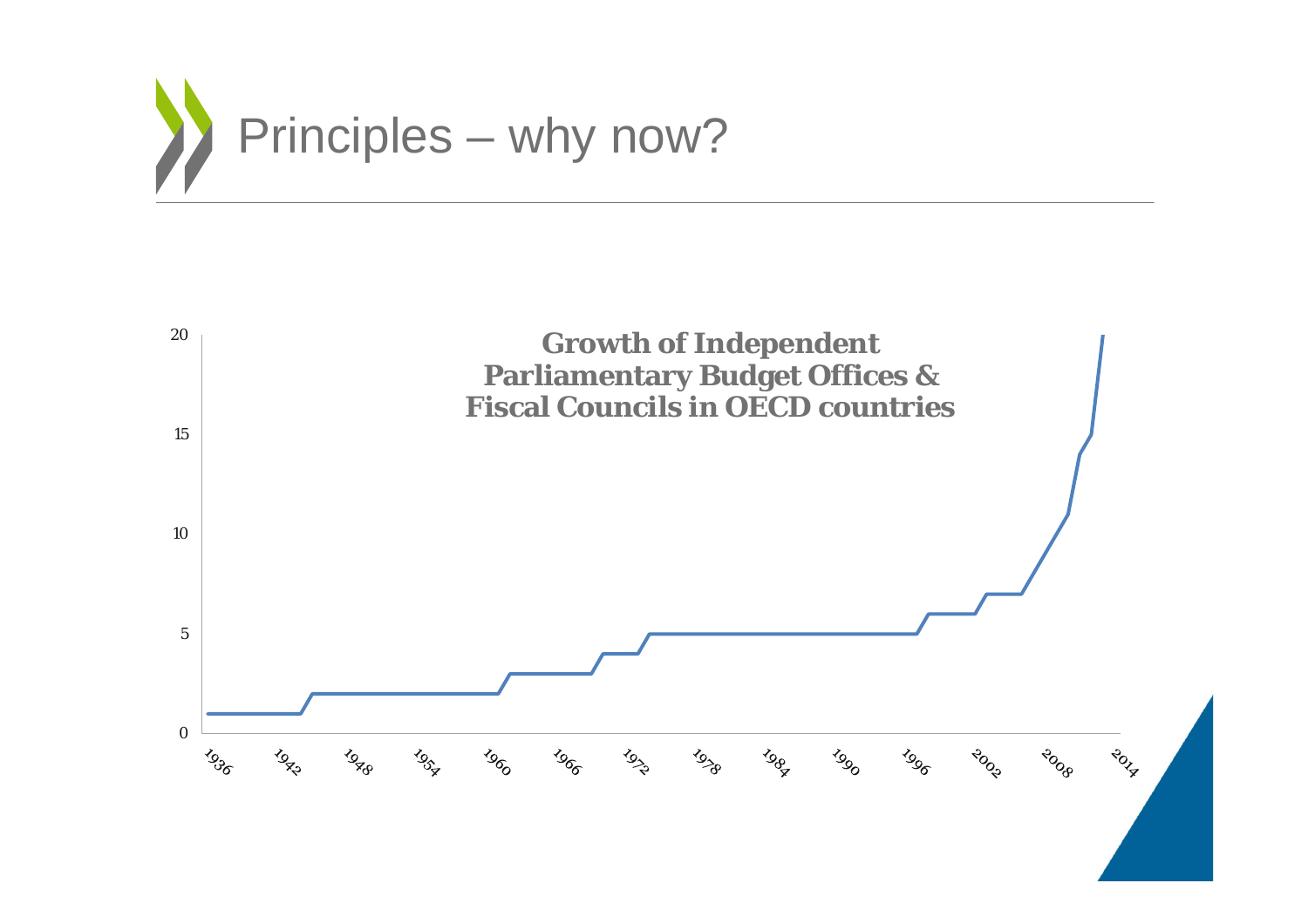

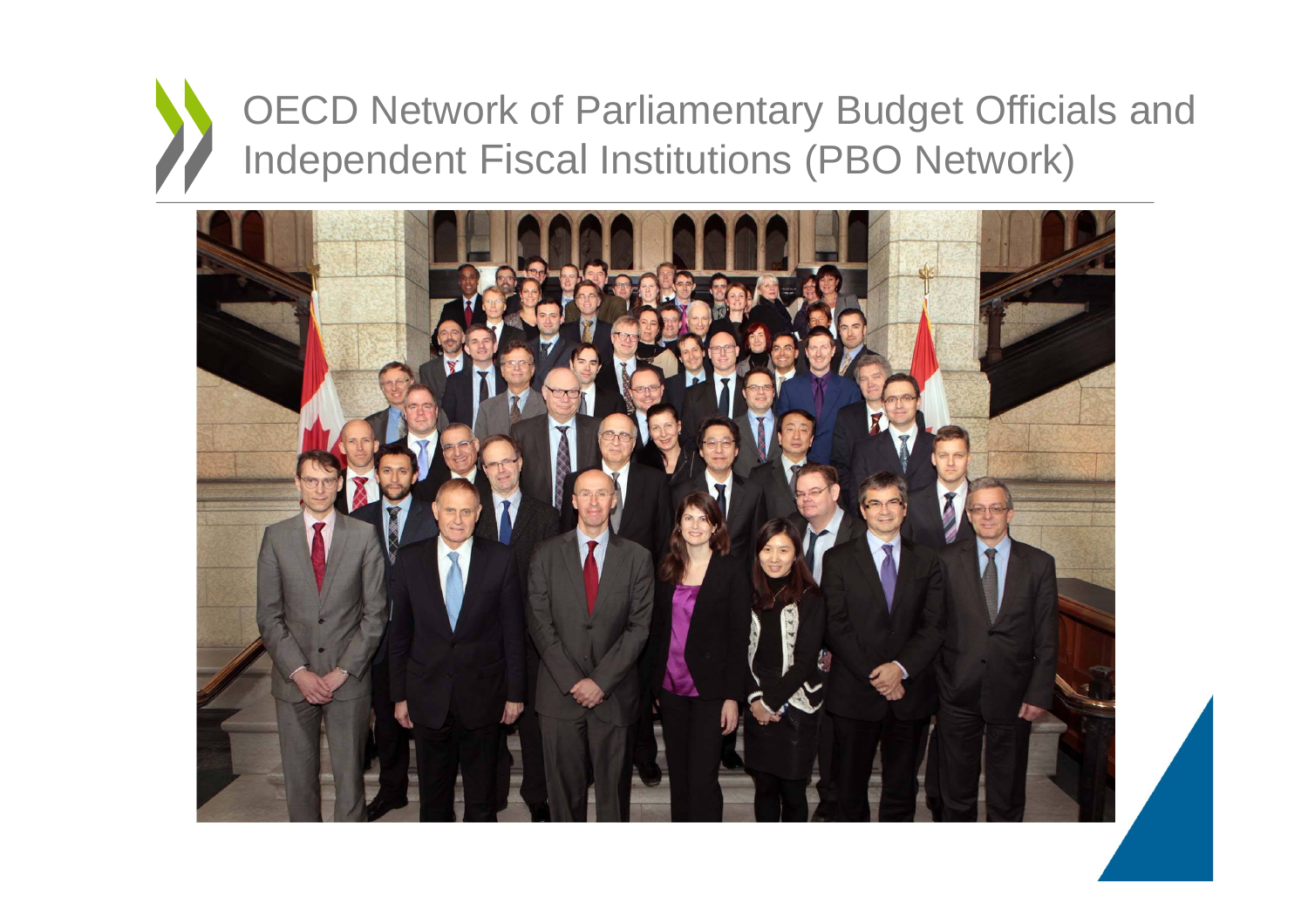## OECD Network of Parliamentary Budget Officials and Independent Fiscal Institutions (PBO Network)

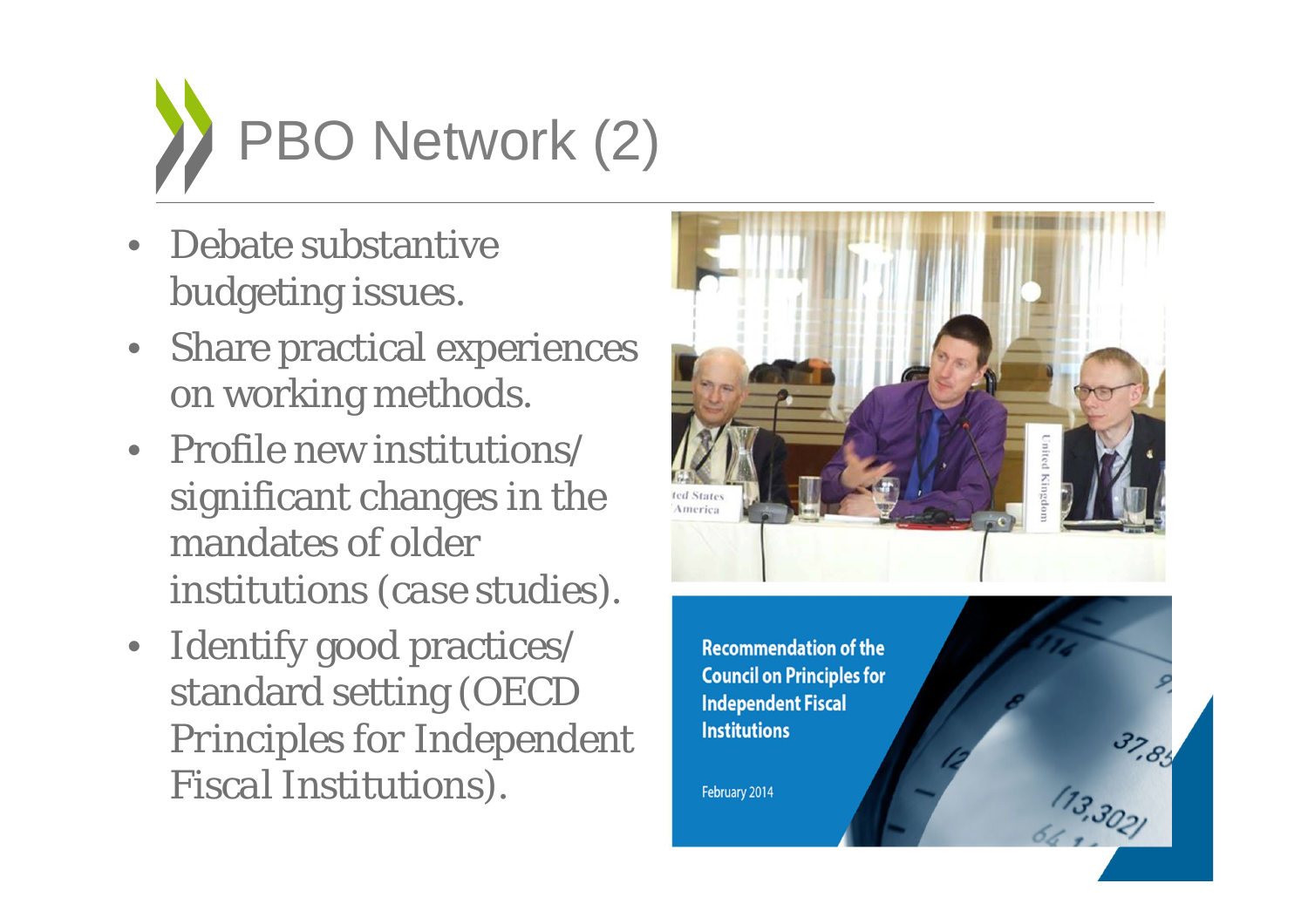

- Debate substantive budgeting issues.
- Share practical experiences on working methods.
- Profile new institutions/ significant changes in the mandates of older institutions (*case studies*).
- Identify good practices/ standard setting (*OECD Principles for Independent Fiscal Institutions*).



 $37.85$ 

**Recommendation of the Council on Principles for Independent Fiscal Institutions** 

February 2014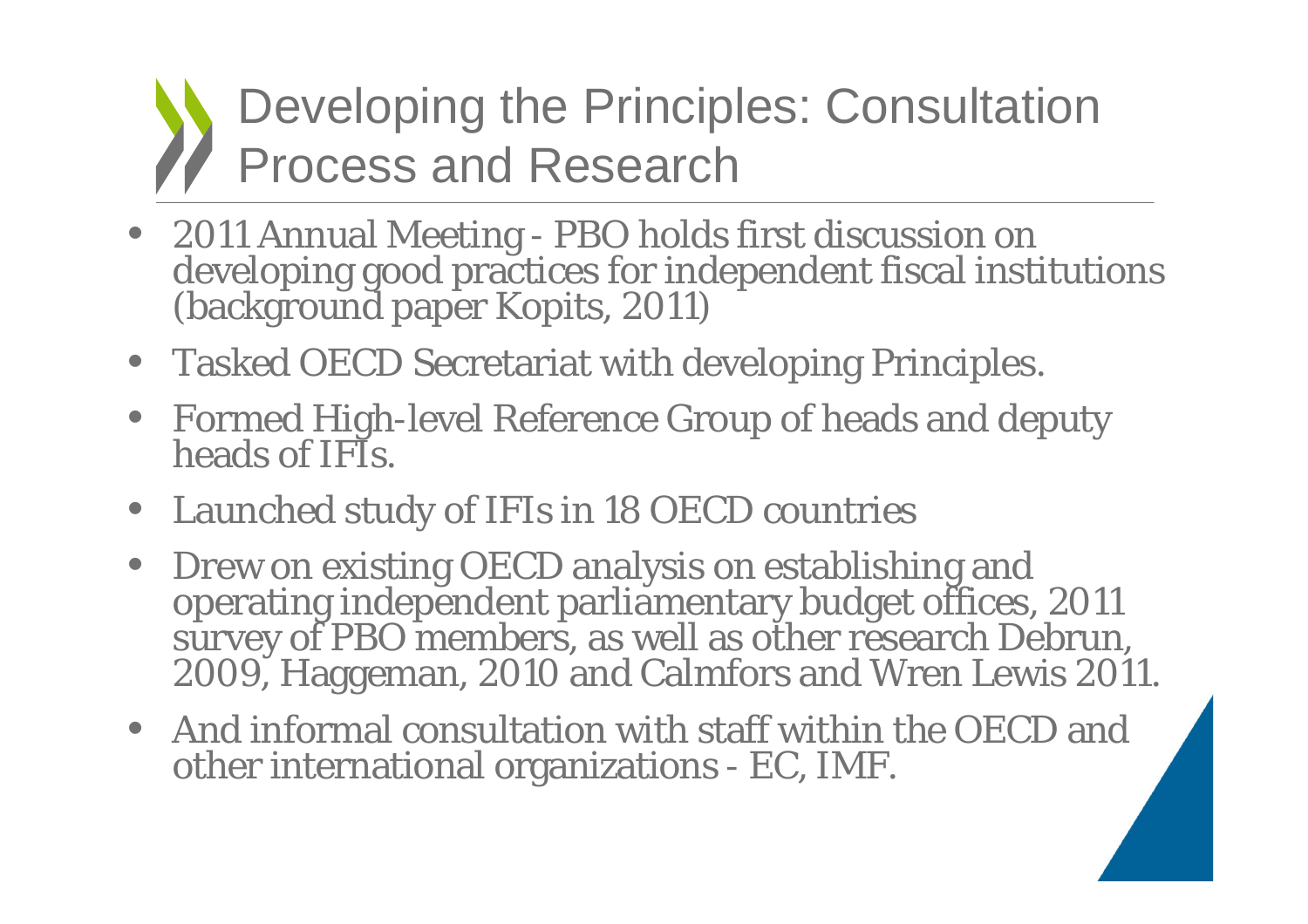Developing the Principles: Consultation Process and Research

- 2011 Annual Meeting PBO holds first discussion on developing good practices for independent fiscal institutions (background paper Kopits, 2011)
- Tasked OECD Secretariat with developing Principles.
- Formed High-level Reference Group of heads and deputy heads of IFIs.
- Launched study of IFIs in 18 OECD countries
- Drew on existing OECD analysis on establishing and operating independent parliamentary budget offices, 2011 survey of PBO members, as well as other research Debrun, 2009, Haggeman, 2010 and Calmfors and Wren Lewis 2011.
- And informal consultation with staff within the OECD and other international organizations - EC, IMF.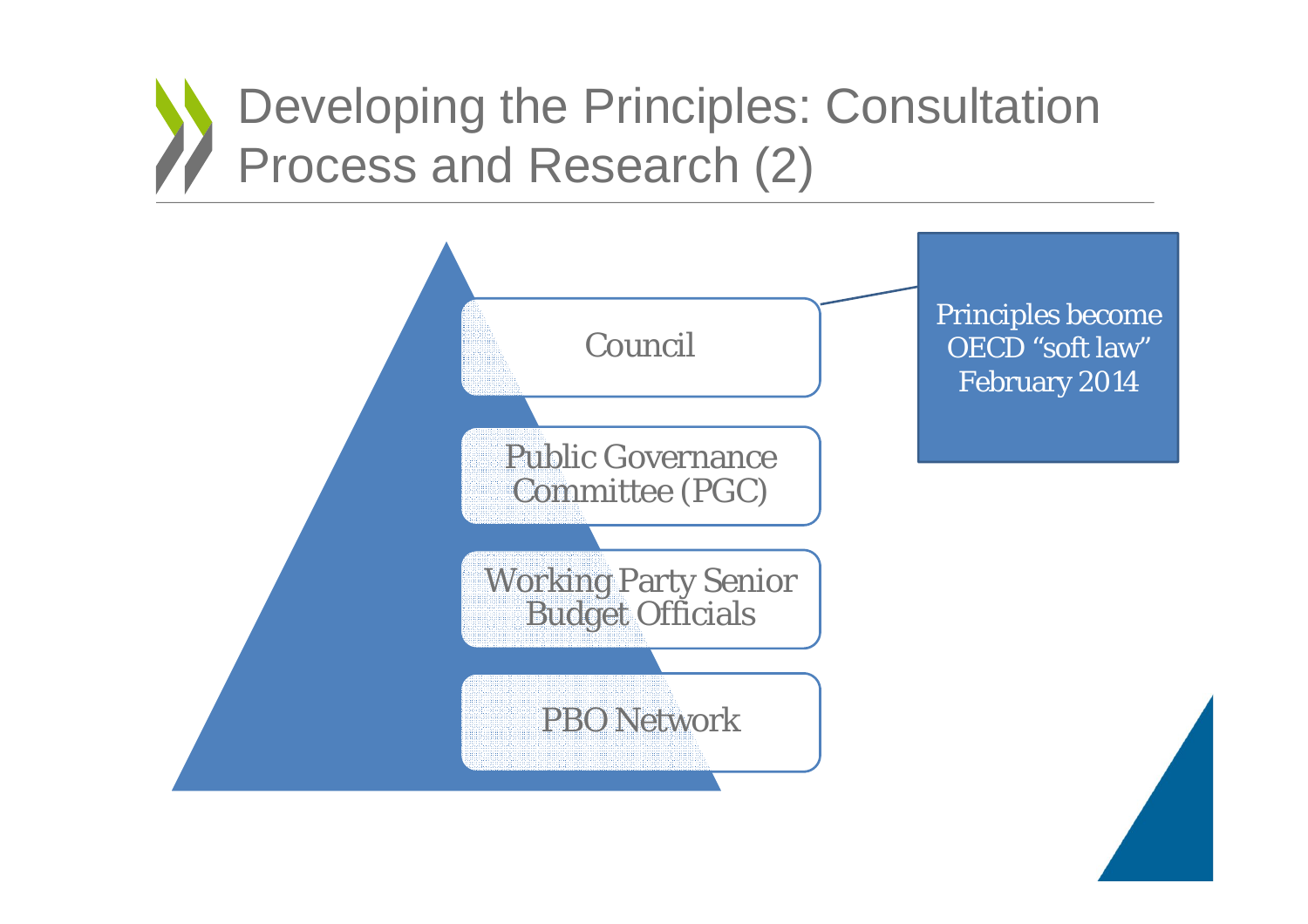# Developing the Principles: Consultation Process and Research (2)

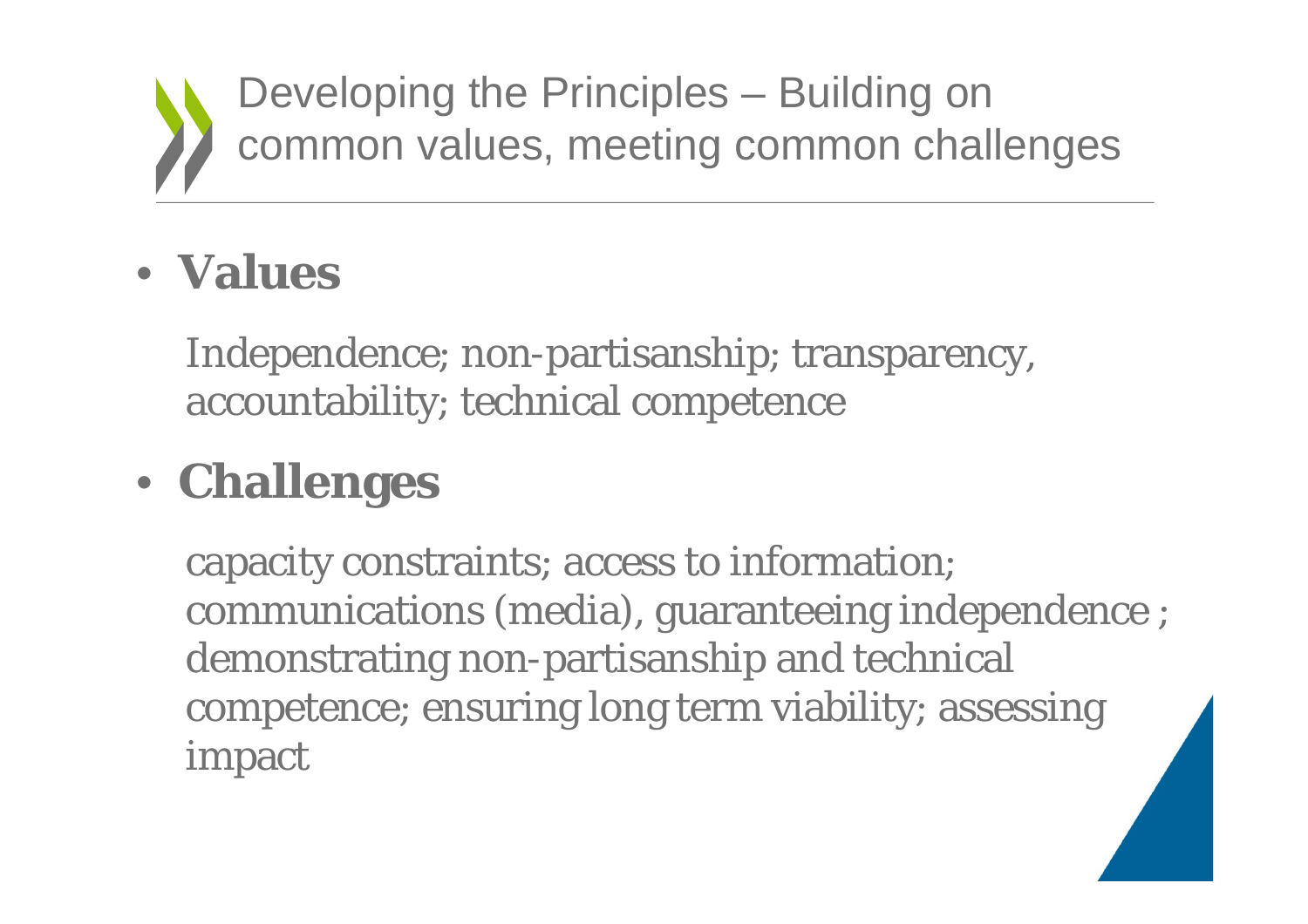

Developing the Principles – Building on common values, meeting common challenges

### • **Values**

Independence; non-partisanship; transparency, accountability; technical competence

# • **Challenges**

capacity constraints; access to information; communications (media), guaranteeing independence ; demonstrating non-partisanship and technical competence; ensuring long term viability; assessing impact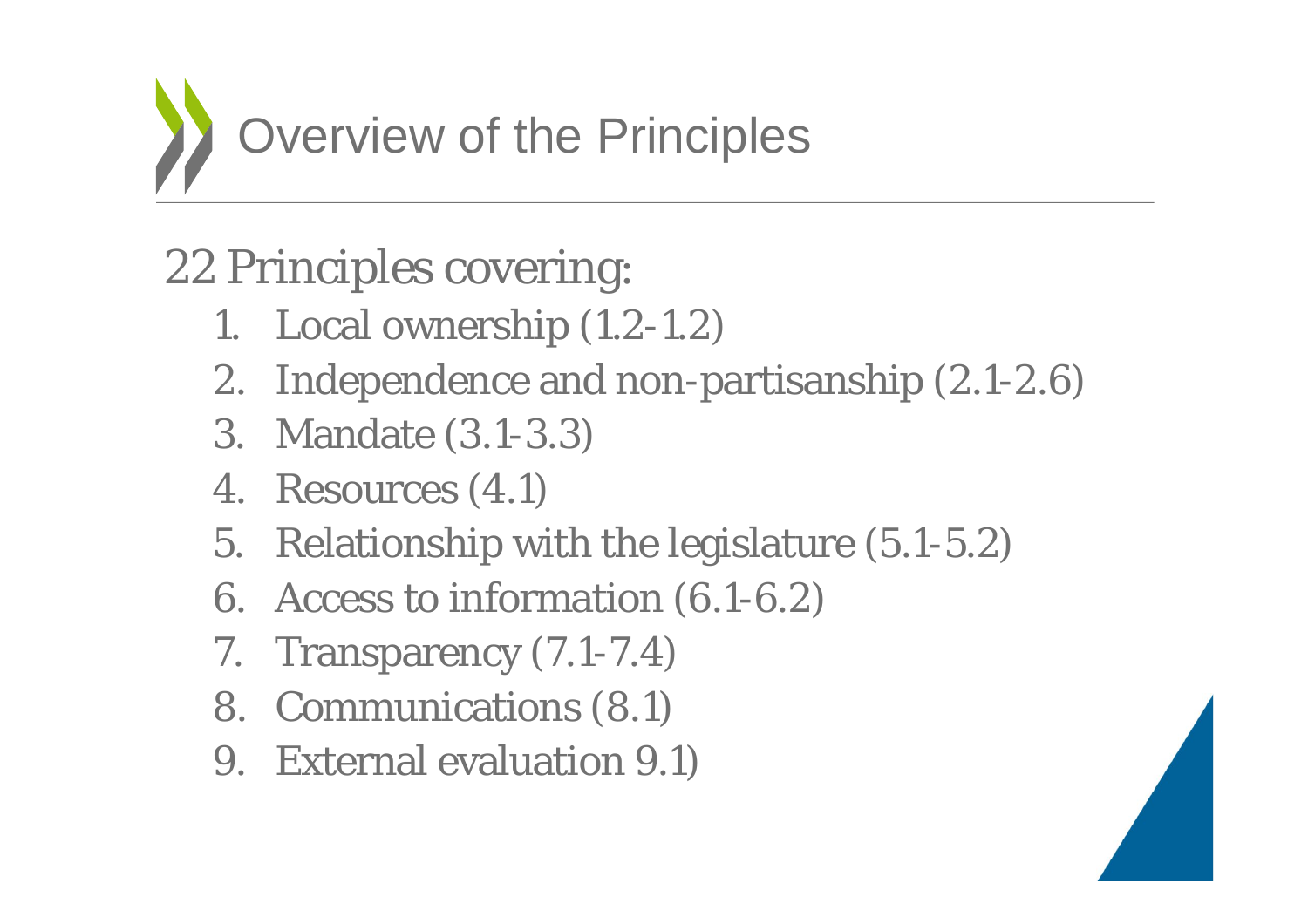

## 22 Principles covering:

- 1. Local ownership (1.2-1.2)
- 2. Independence and non-partisanship (2.1-2.6)
- 3. Mandate (3.1-3.3)
- 4. Resources (4.1)
- 5. Relationship with the legislature (5.1-5.2)
- 6. Access to information (6.1-6.2)
- 7. Transparency (7.1-7.4)
- 8. Communications (8.1)
- 9. External evaluation 9.1)

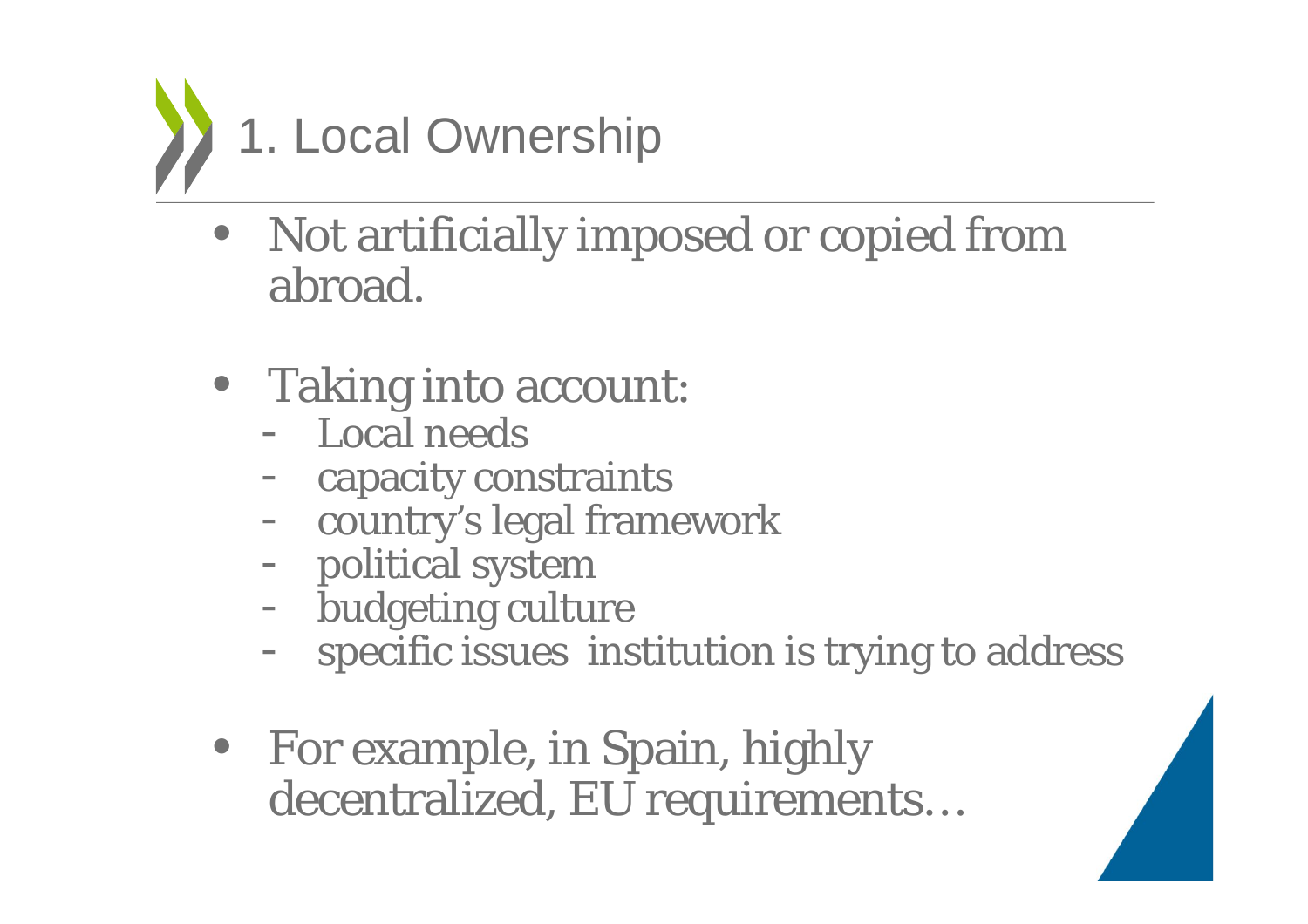

- Not artificially imposed or copied from abroad.
- Taking into account:
	- Local needs
	- capacity constraints
	- -- country's legal framework
	- political system
	- -- budgeting culture
	- specific issues institution is trying to address
- For example, in Spain, highly decentralized, EU requirements…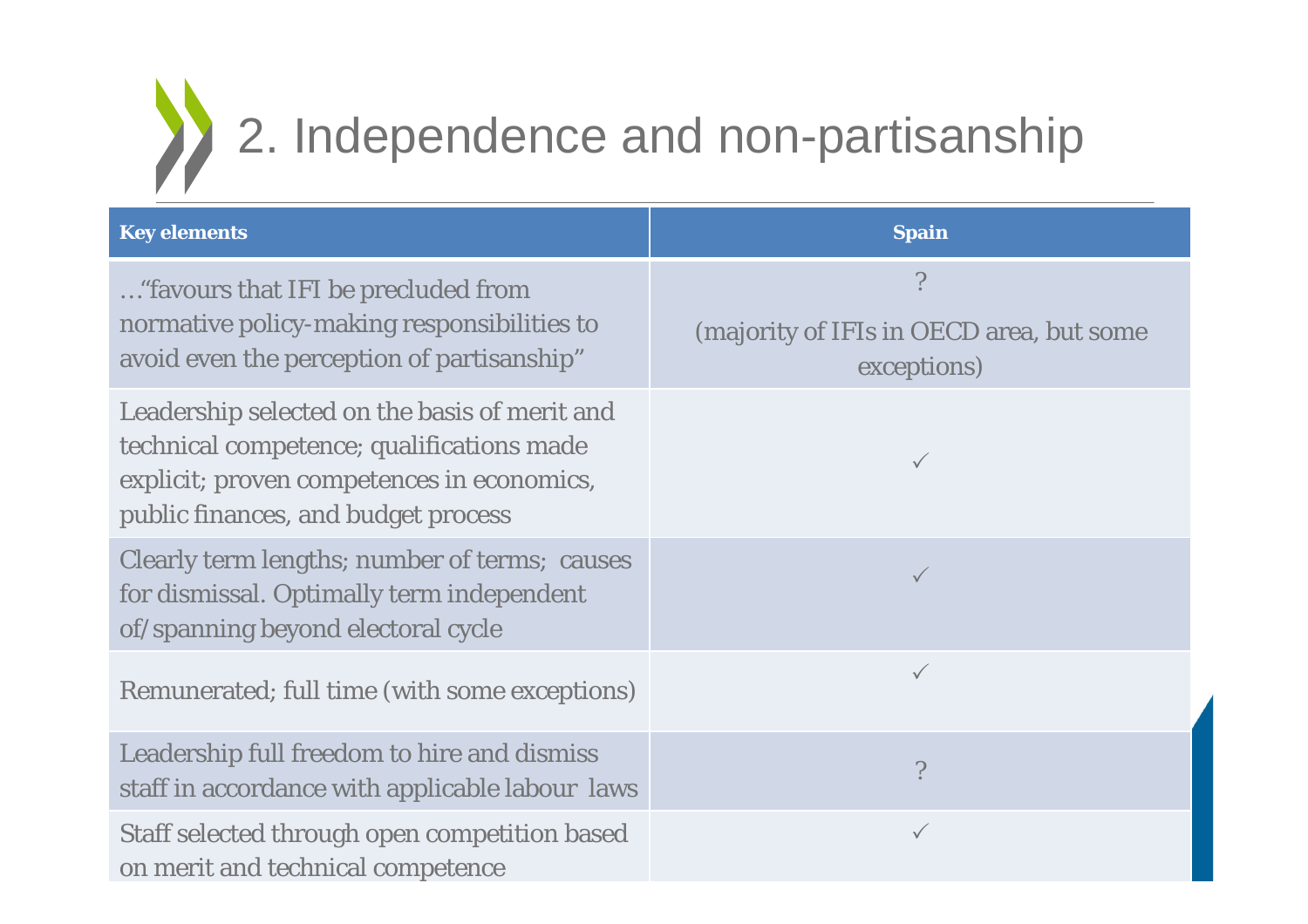

| <b>Key elements</b>                                                                                                                                                             | <b>Spain</b>                                                 |
|---------------------------------------------------------------------------------------------------------------------------------------------------------------------------------|--------------------------------------------------------------|
| "favours that IFI be precluded from<br>normative policy-making responsibilities to<br>avoid even the perception of partisanship"                                                | ?<br>(majority of IFIs in OECD area, but some<br>exceptions) |
| Leadership selected on the basis of merit and<br>technical competence; qualifications made<br>explicit; proven competences in economics,<br>public finances, and budget process | $\checkmark$                                                 |
| Clearly term lengths; number of terms; causes<br>for dismissal. Optimally term independent<br>of/spanning beyond electoral cycle                                                | $\checkmark$                                                 |
| Remunerated; full time (with some exceptions)                                                                                                                                   | $\checkmark$                                                 |
| Leadership full freedom to hire and dismiss<br>staff in accordance with applicable labour laws                                                                                  | $\overline{\phantom{a}}$                                     |
| Staff selected through open competition based<br>on merit and technical competence                                                                                              | $\checkmark$                                                 |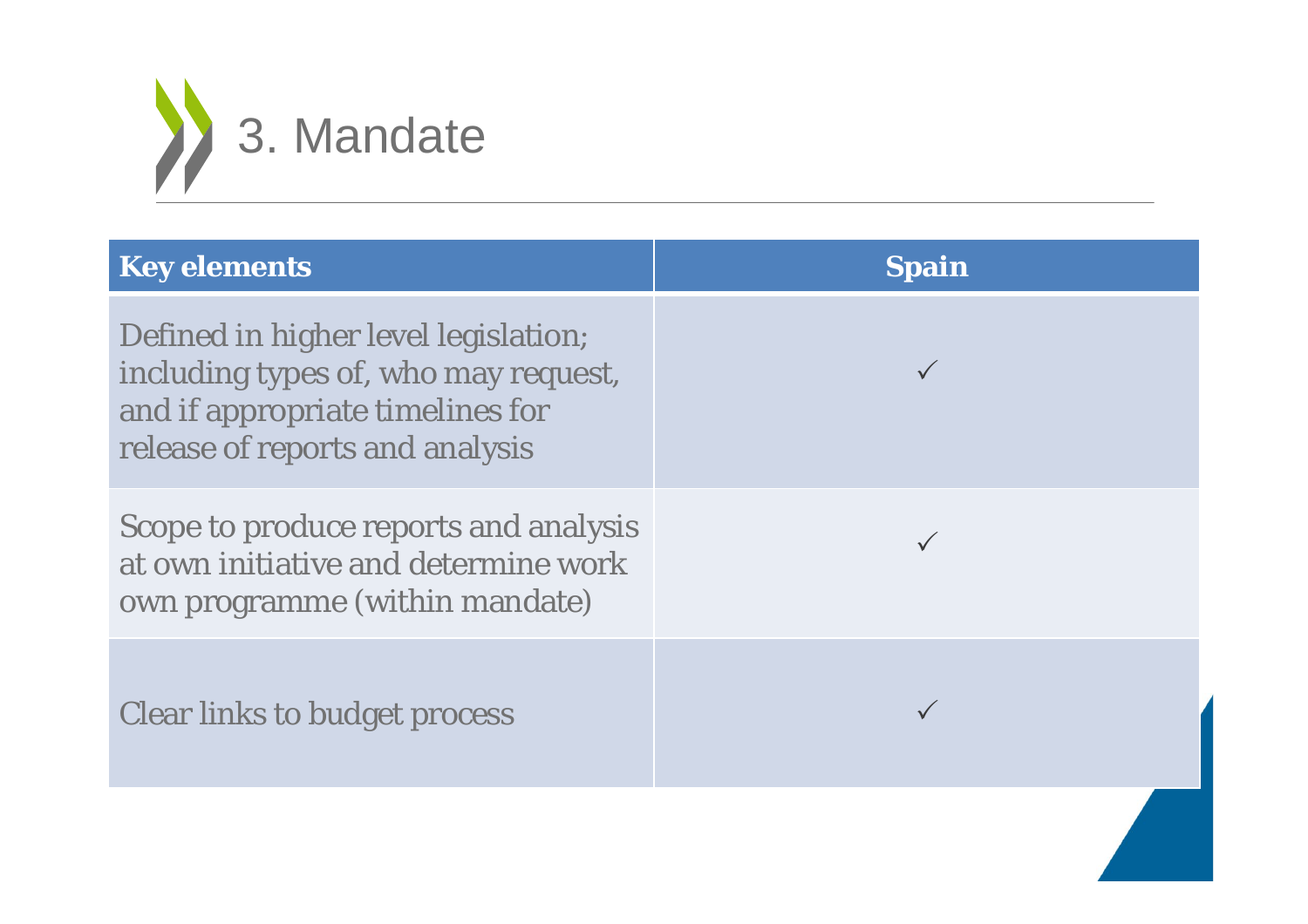

| <b>Key elements</b>                                                                                                                                 | <b>Spain</b> |
|-----------------------------------------------------------------------------------------------------------------------------------------------------|--------------|
| Defined in higher level legislation;<br>including types of, who may request,<br>and if appropriate timelines for<br>release of reports and analysis |              |
| Scope to produce reports and analysis<br>at own initiative and determine work<br>own programme (within mandate)                                     |              |
| <b>Clear links to budget process</b>                                                                                                                |              |
|                                                                                                                                                     |              |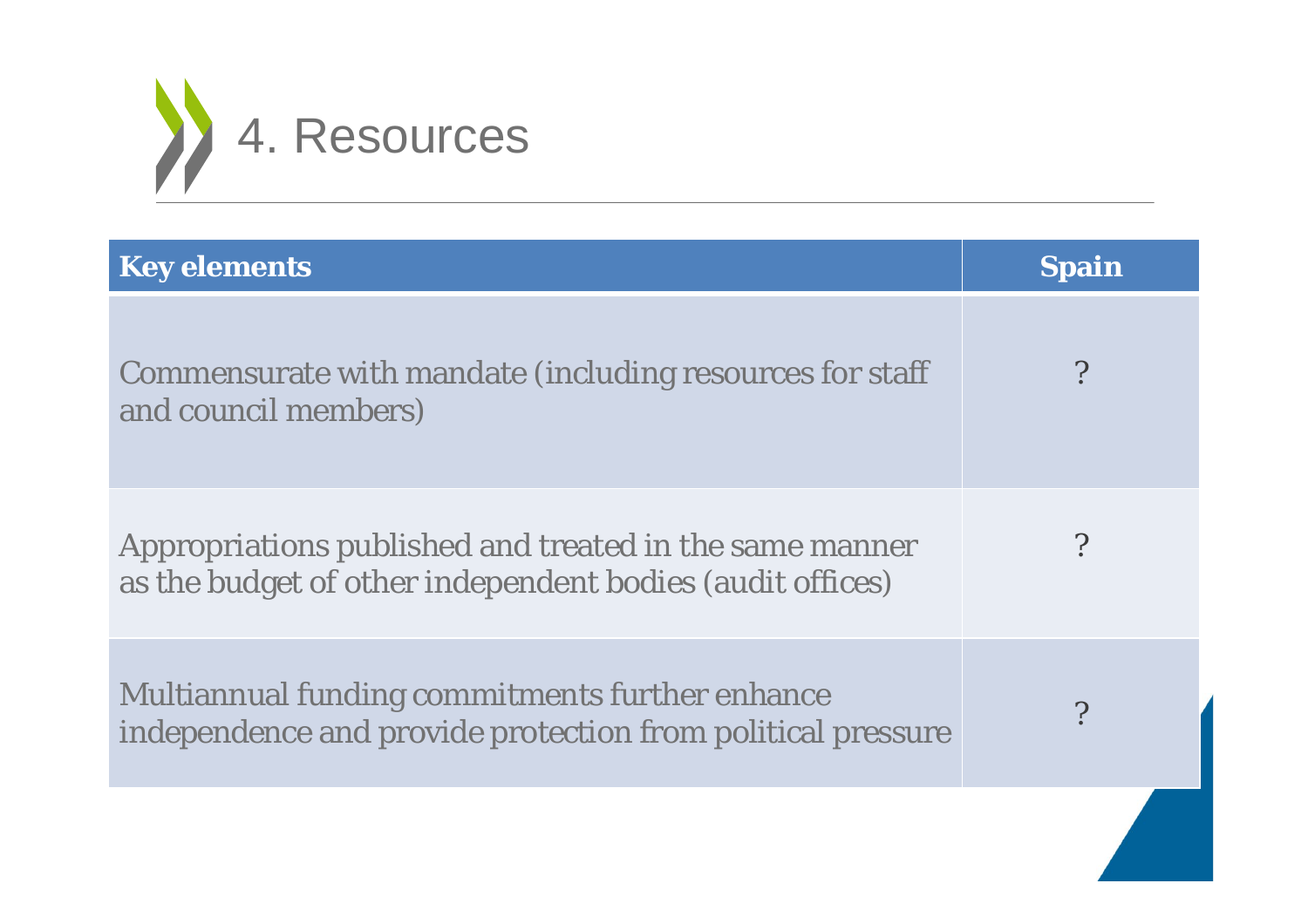

| <b>Key elements</b>                                                                                                  | <b>Spain</b> |
|----------------------------------------------------------------------------------------------------------------------|--------------|
| Commensurate with mandate (including resources for staff<br>and council members)                                     |              |
| Appropriations published and treated in the same manner<br>as the budget of other independent bodies (audit offices) | $\gamma$     |
| Multiannual funding commitments further enhance<br>independence and provide protection from political pressure       | $\cdot$      |
|                                                                                                                      |              |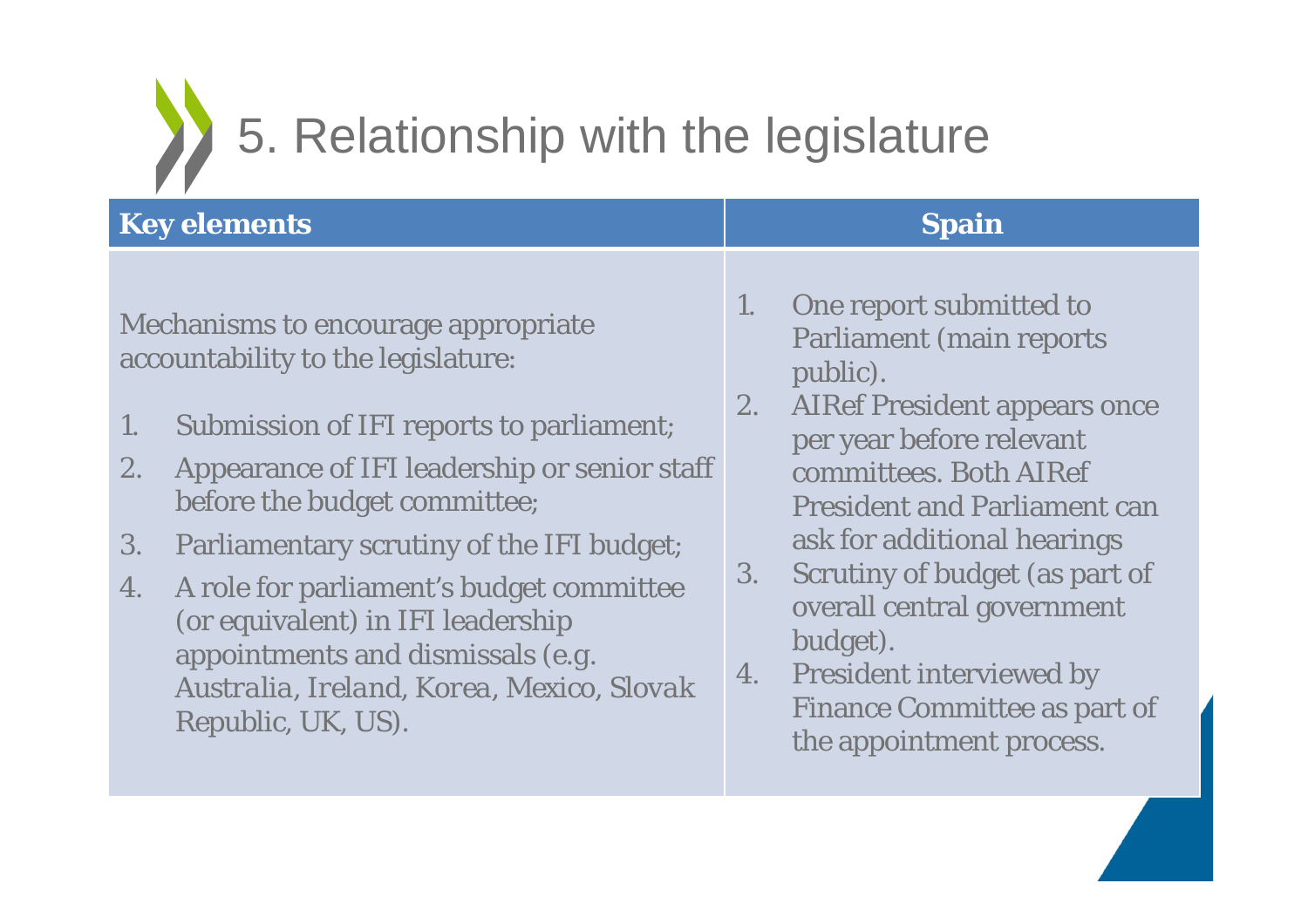

| <b>Key elements</b> | <b>Spain</b> |
|---------------------|--------------|
|---------------------|--------------|

Mechanisms to encourage appropriate accountability to the legislature:

- 1. Submission of IFI reports to parliament;
- 2. Appearance of IFI leadership or senior staff before the budget committee;
- 3. Parliamentary scrutiny of the IFI budget;
- 4. A role for parliament's budget committee (or equivalent) in IFI leadership appointments and dismissals *(e.g. Australia, Ireland, Korea, Mexico, Slovak Republic, UK, US).*

- 1. One report submitted to Parliament (main reports public).
- 2. AIRef President appears once per year before relevant committees. Both AIRefPresident and Parliament can ask for additional hearings
- 3. Scrutiny of budget (as part of overall central government budget).
- 4. President interviewed by Finance Committee as part of the appointment process.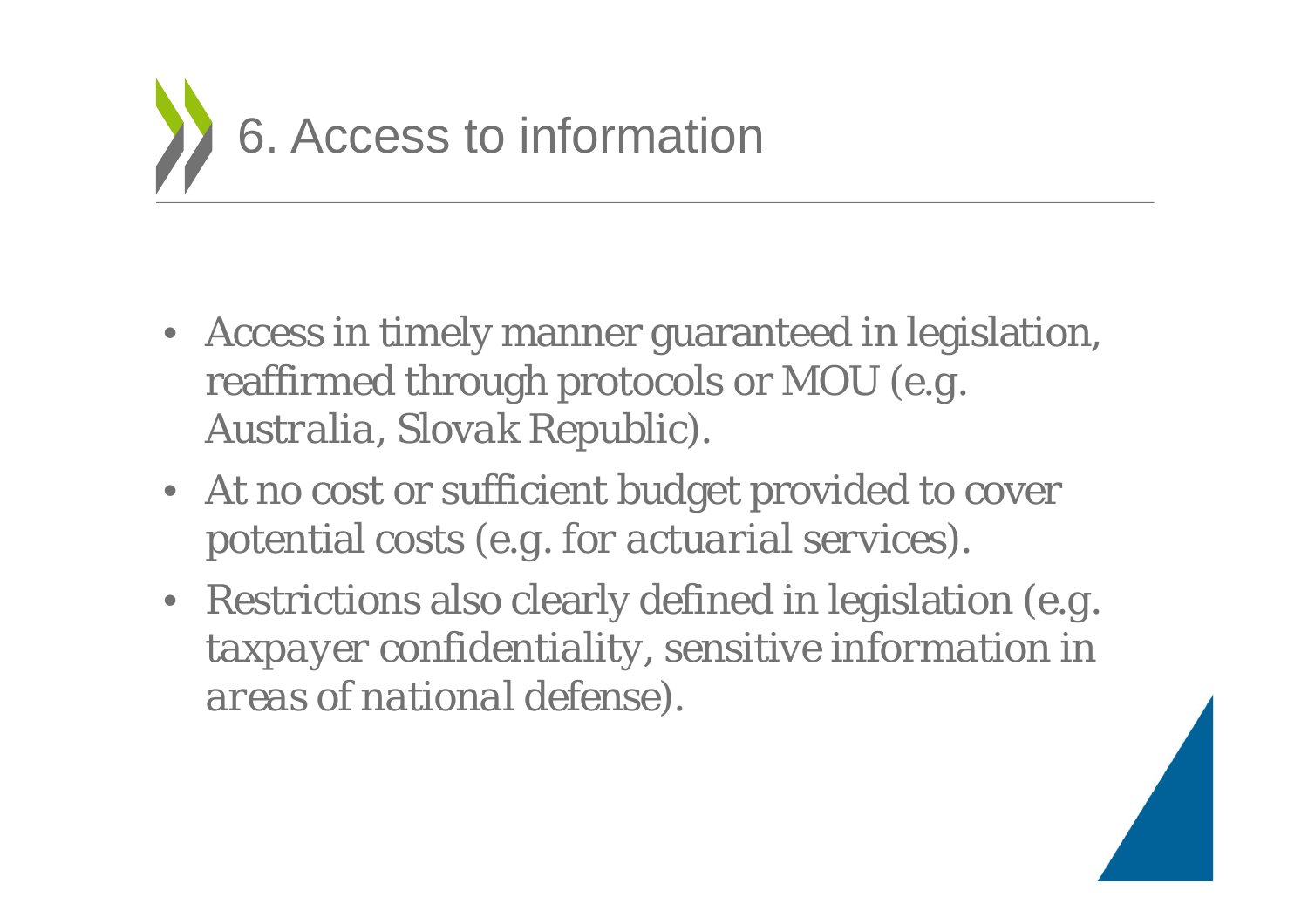

- Access in timely manner guaranteed in legislation, reaffirmed through protocols or MOU *(e.g. Australia, Slovak Republic).*
- At no cost or sufficient budget provided to cover potential costs *(e.g. for actuarial services).*
- Restrictions also clearly defined in legislation *(e.g. taxpayer confidentiality, sensitive information in areas of national defense).*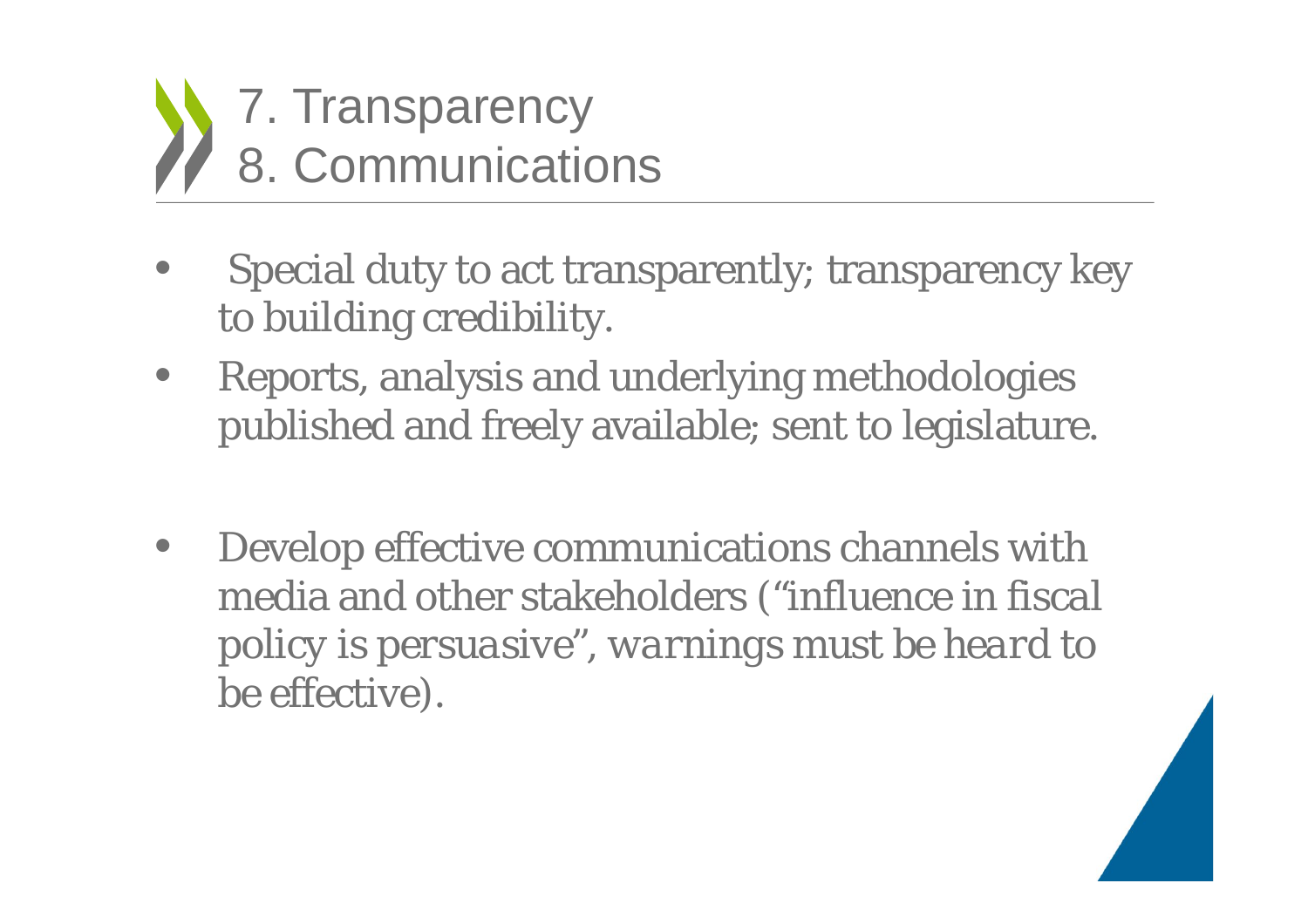

- $\bullet$  Special duty to act transparently; transparency key to building credibility.
- $\bullet$  Reports, analysis and underlying methodologies published and freely available; sent to legislature.
- • Develop effective communications channels with media and other stakeholders *("influence in fiscal policy is persuasive", warnings must be heard to be effective)*.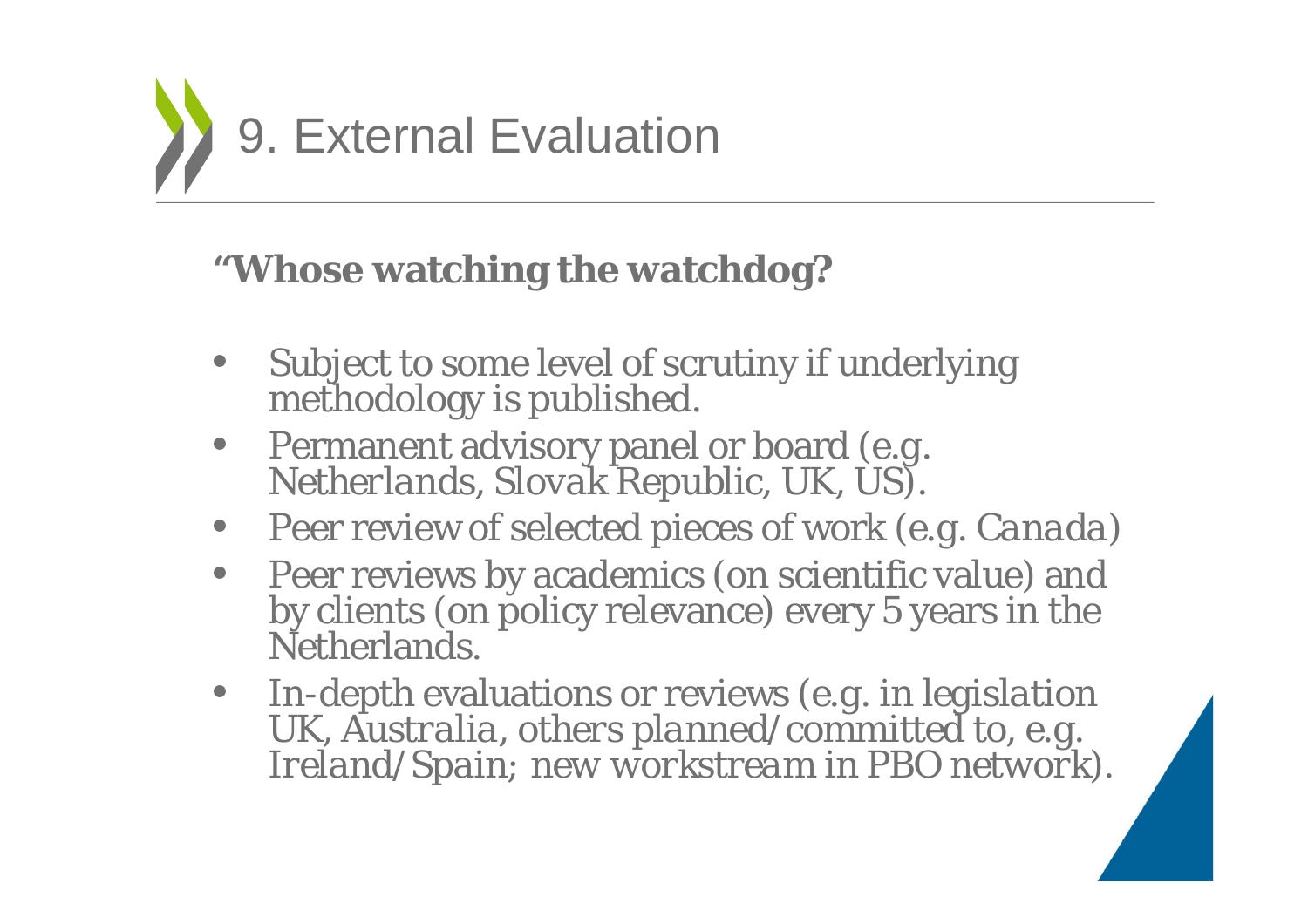

#### **"Whose watching the watchdog?**

- $\bullet$ Subject to some level of scrutiny if underlying methodology is published.
- $\bullet$ Permanent advisory panel or board *(e.g. Netherlands, Slovak Republic, UK, US).*
- Peer review of selected pieces of work *(e.g. Canada)*
- Peer reviews by academics (on scientific value) and by clients (on policy relevance) every 5 years in the Netherlands.
- In-depth evaluations or reviews *(e.g. in legislation UK, Australia, others planned/committed to, e.g. Ireland/Spain; new workstream in PBO network).*